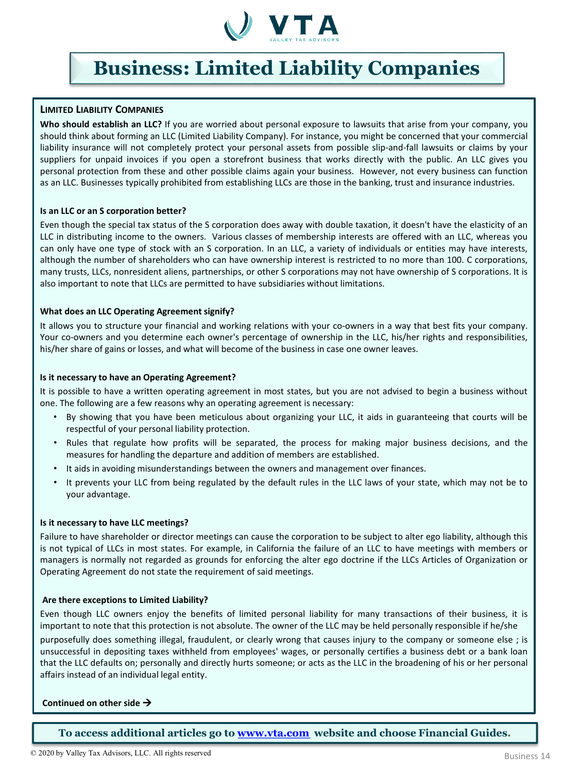

# **Business: Limited Liability Companies**

## **LIMITED LIABILITY COMPANIES**

**Who should establish an LLC?** If you are worried about personal exposure to lawsuits that arise from your company, you should think about forming an LLC (Limited Liability Company). For instance, you might be concerned that your commercial liability insurance will not completely protect your personal assets from possible slip-and-fall lawsuits or claims by your suppliers for unpaid invoices if you open a storefront business that works directly with the public. An LLC gives you personal protection from these and other possible claims again your business. However, not every business can function as an LLC. Businesses typically prohibited from establishing LLCs are those in the banking, trust and insurance industries.

#### **Is an LLC or an S corporation better?**

Even though the special tax status of the S corporation does away with double taxation, it doesn't have the elasticity of an LLC in distributing income to the owners. Various classes of membership interests are offered with an LLC, whereas you can only have one type of stock with an S corporation. In an LLC, a variety of individuals or entities may have interests, although the number of shareholders who can have ownership interest is restricted to no more than 100. C corporations, many trusts, LLCs, nonresident aliens, partnerships, or other S corporations may not have ownership of S corporations. It is also important to note that LLCs are permitted to have subsidiaries without limitations.

### **What does an LLC Operating Agreement signify?**

It allows you to structure your financial and working relations with your co-owners in a way that best fits your company. Your co-owners and you determine each owner's percentage of ownership in the LLC, his/her rights and responsibilities, his/her share of gains or losses, and what will become of the business in case one owner leaves.

#### **Is it necessary to have an Operating Agreement?**

It is possible to have a written operating agreement in most states, but you are not advised to begin a business without one. The following are a few reasons why an operating agreement is necessary:

- By showing that you have been meticulous about organizing your LLC, it aids in guaranteeing that courts will be respectful of your personal liability protection.
- Rules that regulate how profits will be separated, the process for making major business decisions, and the measures for handling the departure and addition of members are established.
- It aids in avoiding misunderstandings between the owners and management over finances.
- It prevents your LLC from being regulated by the default rules in the LLC laws of your state, which may not be to your advantage.

### **Is it necessary to have LLC meetings?**

Failure to have shareholder or director meetings can cause the corporation to be subject to alter ego liability, although this is not typical of LLCs in most states. For example, in California the failure of an LLC to have meetings with members or managers is normally not regarded as grounds for enforcing the alter ego doctrine if the LLCs Articles of Organization or Operating Agreement do not state the requirement of said meetings.

#### **Are there exceptions to Limited Liability?**

Even though LLC owners enjoy the benefits of limited personal liability for many transactions of their business, it is important to note that this protection is not absolute. The owner of the LLC may be held personally responsible if he/she purposefully does something illegal, fraudulent, or clearly wrong that causes injury to the company or someone else ; is unsuccessful in depositing taxes withheld from employees' wages, or personally certifies a business debt or a bank loan that the LLC defaults on; personally and directly hurts someone; or acts as the LLC in the broadening of his or her personal affairs instead of an individual legal entity.

#### **Continued on other side**

**To access additional articles go to [www.vta.com](http://www.vta.com/) website and choose Financial Guides.**